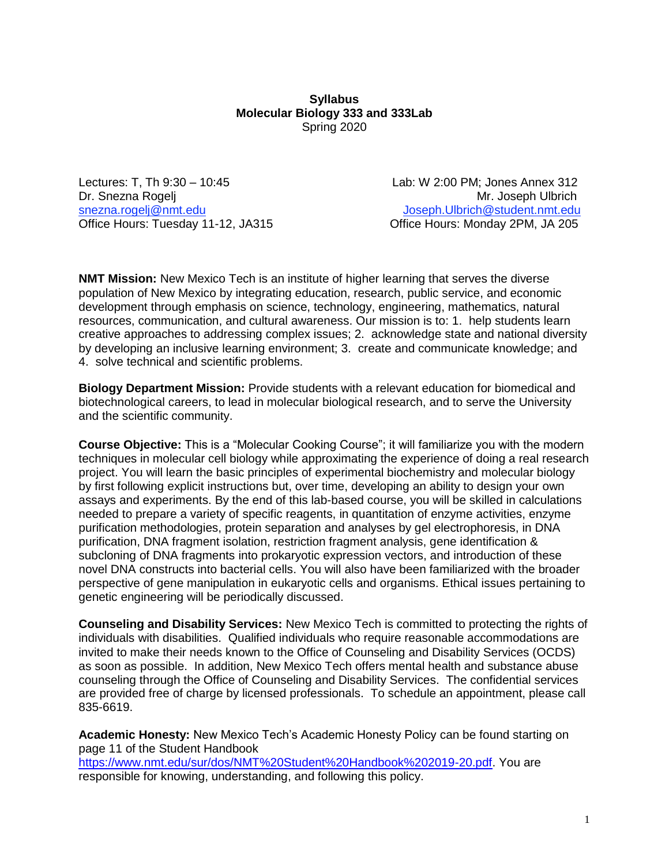#### **Syllabus Molecular Biology 333 and 333Lab**  Spring 2020

Office Hours: Tuesday 11-12, JA315

Lectures: T, Th 9:30 – 10:45 Lab: W 2:00 PM; Jones Annex 312 Dr. Snezna Rogelj Mr. Joseph Ulbrich snezna.rogelj@nmt.edu Joseph.Ulbrich@student.nmt.edu<br>Office Hours: Tuesday 11-12, JA315 Office Hours: Monday 2PM, JA 205

**NMT Mission:** New Mexico Tech is an institute of higher learning that serves the diverse population of New Mexico by integrating education, research, public service, and economic development through emphasis on science, technology, engineering, mathematics, natural resources, communication, and cultural awareness. Our mission is to: 1. help students learn creative approaches to addressing complex issues; 2. acknowledge state and national diversity by developing an inclusive learning environment; 3. create and communicate knowledge; and 4. solve technical and scientific problems.

**Biology Department Mission:** Provide students with a relevant education for biomedical and biotechnological careers, to lead in molecular biological research, and to serve the University and the scientific community.

**Course Objective:** This is a "Molecular Cooking Course"; it will familiarize you with the modern techniques in molecular cell biology while approximating the experience of doing a real research project. You will learn the basic principles of experimental biochemistry and molecular biology by first following explicit instructions but, over time, developing an ability to design your own assays and experiments. By the end of this lab-based course, you will be skilled in calculations needed to prepare a variety of specific reagents, in quantitation of enzyme activities, enzyme purification methodologies, protein separation and analyses by gel electrophoresis, in DNA purification, DNA fragment isolation, restriction fragment analysis, gene identification & subcloning of DNA fragments into prokaryotic expression vectors, and introduction of these novel DNA constructs into bacterial cells. You will also have been familiarized with the broader perspective of gene manipulation in eukaryotic cells and organisms. Ethical issues pertaining to genetic engineering will be periodically discussed.

**Counseling and Disability Services:** New Mexico Tech is committed to protecting the rights of individuals with disabilities. Qualified individuals who require reasonable accommodations are invited to make their needs known to the Office of Counseling and Disability Services (OCDS) as soon as possible. In addition, New Mexico Tech offers mental health and substance abuse counseling through the Office of Counseling and Disability Services. The confidential services are provided free of charge by licensed professionals. To schedule an appointment, please call 835-6619.

**Academic Honesty:** New Mexico Tech's Academic Honesty Policy can be found starting on page 11 of the Student Handbook [https://www.nmt.edu/sur/dos/NMT%20Student%20Handbook%202019-20.pdf.](https://www.nmt.edu/sur/dos/NMT%20Student%20Handbook%202019-20.pdf) You are responsible for knowing, understanding, and following this policy.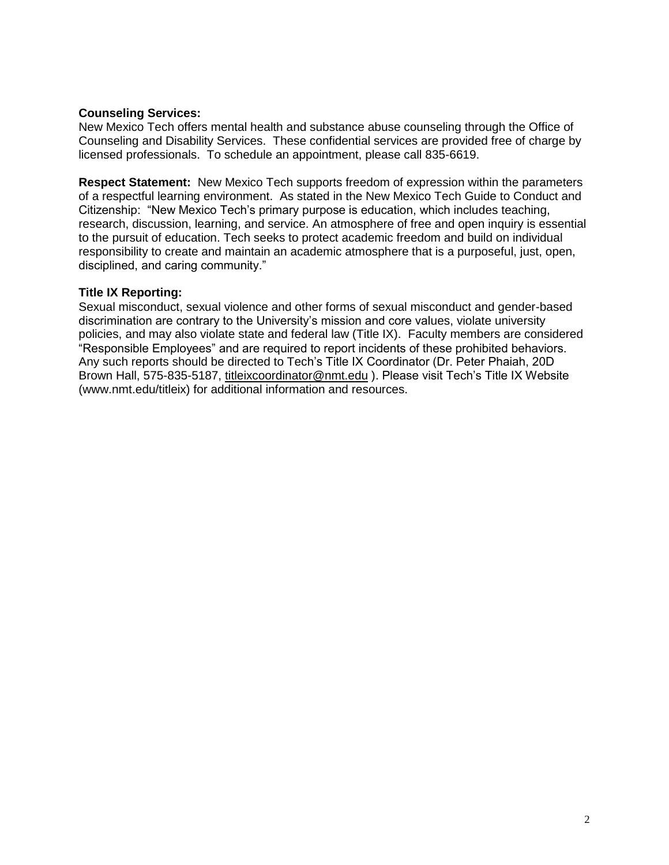#### **Counseling Services:**

New Mexico Tech offers mental health and substance abuse counseling through the Office of Counseling and Disability Services. These confidential services are provided free of charge by licensed professionals. To schedule an appointment, please call 835-6619.

**Respect Statement:** New Mexico Tech supports freedom of expression within the parameters of a respectful learning environment. As stated in the New Mexico Tech Guide to Conduct and Citizenship: "New Mexico Tech's primary purpose is education, which includes teaching, research, discussion, learning, and service. An atmosphere of free and open inquiry is essential to the pursuit of education. Tech seeks to protect academic freedom and build on individual responsibility to create and maintain an academic atmosphere that is a purposeful, just, open, disciplined, and caring community."

### **Title IX Reporting:**

Sexual misconduct, sexual violence and other forms of sexual misconduct and gender-based discrimination are contrary to the University's mission and core values, violate university policies, and may also violate state and federal law (Title IX). Faculty members are considered "Responsible Employees" and are required to report incidents of these prohibited behaviors. Any such reports should be directed to Tech's Title IX Coordinator (Dr. Peter Phaiah, 20D Brown Hall, 575-835-5187, [titleixcoordinator@nmt.edu](mailto:titleixcoordinator@nmt.edu) ). Please visit Tech's Title IX Website (www.nmt.edu/titleix) for additional information and resources.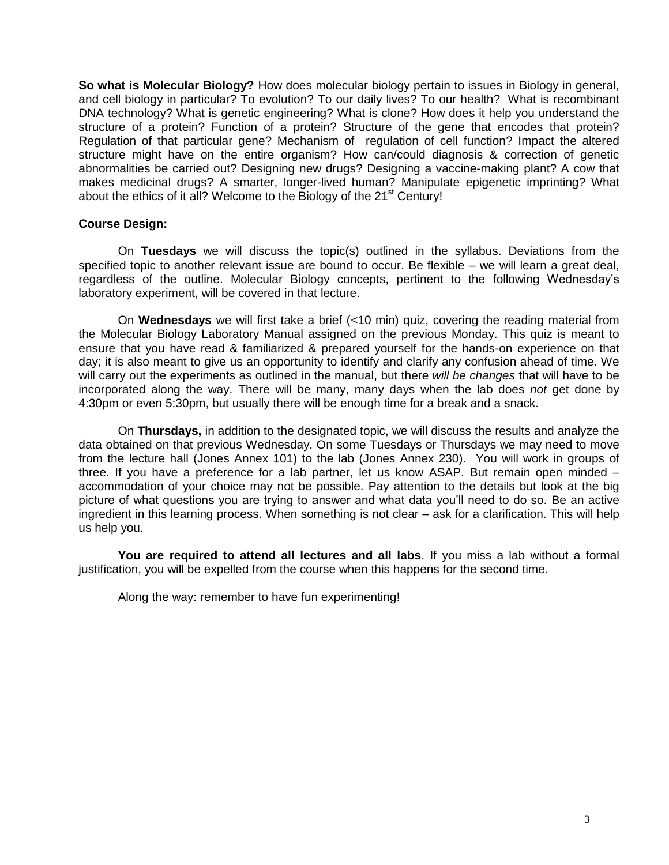**So what is Molecular Biology?** How does molecular biology pertain to issues in Biology in general, and cell biology in particular? To evolution? To our daily lives? To our health? What is recombinant DNA technology? What is genetic engineering? What is clone? How does it help you understand the structure of a protein? Function of a protein? Structure of the gene that encodes that protein? Regulation of that particular gene? Mechanism of regulation of cell function? Impact the altered structure might have on the entire organism? How can/could diagnosis & correction of genetic abnormalities be carried out? Designing new drugs? Designing a vaccine-making plant? A cow that makes medicinal drugs? A smarter, longer-lived human? Manipulate epigenetic imprinting? What about the ethics of it all? Welcome to the Biology of the  $21^{st}$  Century!

#### **Course Design:**

On **Tuesdays** we will discuss the topic(s) outlined in the syllabus. Deviations from the specified topic to another relevant issue are bound to occur. Be flexible – we will learn a great deal, regardless of the outline. Molecular Biology concepts, pertinent to the following Wednesday's laboratory experiment, will be covered in that lecture.

On **Wednesdays** we will first take a brief (<10 min) quiz, covering the reading material from the Molecular Biology Laboratory Manual assigned on the previous Monday. This quiz is meant to ensure that you have read & familiarized & prepared yourself for the hands-on experience on that day; it is also meant to give us an opportunity to identify and clarify any confusion ahead of time. We will carry out the experiments as outlined in the manual, but there *will be changes* that will have to be incorporated along the way. There will be many, many days when the lab does *not* get done by 4:30pm or even 5:30pm, but usually there will be enough time for a break and a snack.

On **Thursdays,** in addition to the designated topic, we will discuss the results and analyze the data obtained on that previous Wednesday. On some Tuesdays or Thursdays we may need to move from the lecture hall (Jones Annex 101) to the lab (Jones Annex 230). You will work in groups of three. If you have a preference for a lab partner, let us know ASAP. But remain open minded – accommodation of your choice may not be possible. Pay attention to the details but look at the big picture of what questions you are trying to answer and what data you'll need to do so. Be an active ingredient in this learning process. When something is not clear – ask for a clarification. This will help us help you.

**You are required to attend all lectures and all labs**. If you miss a lab without a formal justification, you will be expelled from the course when this happens for the second time.

Along the way: remember to have fun experimenting!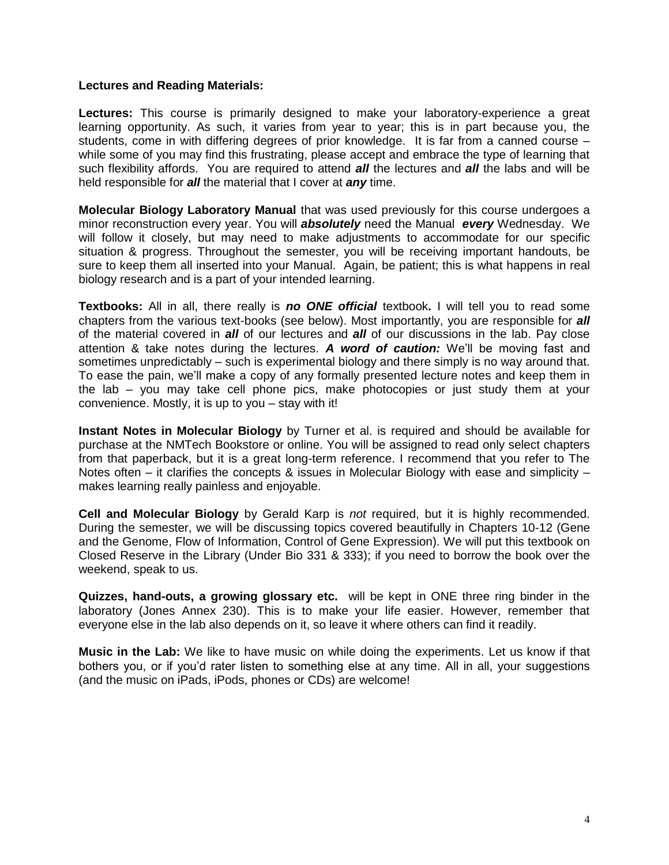#### **Lectures and Reading Materials:**

**Lectures:** This course is primarily designed to make your laboratory-experience a great learning opportunity. As such, it varies from year to year; this is in part because you, the students, come in with differing degrees of prior knowledge. It is far from a canned course – while some of you may find this frustrating, please accept and embrace the type of learning that such flexibility affords. You are required to attend *all* the lectures and *all* the labs and will be held responsible for *all* the material that I cover at *any* time.

**Molecular Biology Laboratory Manual** that was used previously for this course undergoes a minor reconstruction every year. You will *absolutely* need the Manual *every* Wednesday. We will follow it closely, but may need to make adjustments to accommodate for our specific situation & progress. Throughout the semester, you will be receiving important handouts, be sure to keep them all inserted into your Manual. Again, be patient; this is what happens in real biology research and is a part of your intended learning.

**Textbooks:** All in all, there really is *no ONE official* textbook**.** I will tell you to read some chapters from the various text-books (see below). Most importantly, you are responsible for *all* of the material covered in *all* of our lectures and *all* of our discussions in the lab. Pay close attention & take notes during the lectures. *A word of caution:* We'll be moving fast and sometimes unpredictably – such is experimental biology and there simply is no way around that. To ease the pain, we'll make a copy of any formally presented lecture notes and keep them in the lab – you may take cell phone pics, make photocopies or just study them at your convenience. Mostly, it is up to you – stay with it!

**Instant Notes in Molecular Biology** by Turner et al. is required and should be available for purchase at the NMTech Bookstore or online. You will be assigned to read only select chapters from that paperback, but it is a great long-term reference. I recommend that you refer to The Notes often – it clarifies the concepts & issues in Molecular Biology with ease and simplicity – makes learning really painless and enjoyable.

**Cell and Molecular Biology** by Gerald Karp is *not* required, but it is highly recommended. During the semester, we will be discussing topics covered beautifully in Chapters 10-12 (Gene and the Genome, Flow of Information, Control of Gene Expression). We will put this textbook on Closed Reserve in the Library (Under Bio 331 & 333); if you need to borrow the book over the weekend, speak to us.

**Quizzes, hand-outs, a growing glossary etc.** will be kept in ONE three ring binder in the laboratory (Jones Annex 230). This is to make your life easier. However, remember that everyone else in the lab also depends on it, so leave it where others can find it readily.

**Music in the Lab:** We like to have music on while doing the experiments. Let us know if that bothers you, or if you'd rater listen to something else at any time. All in all, your suggestions (and the music on iPads, iPods, phones or CDs) are welcome!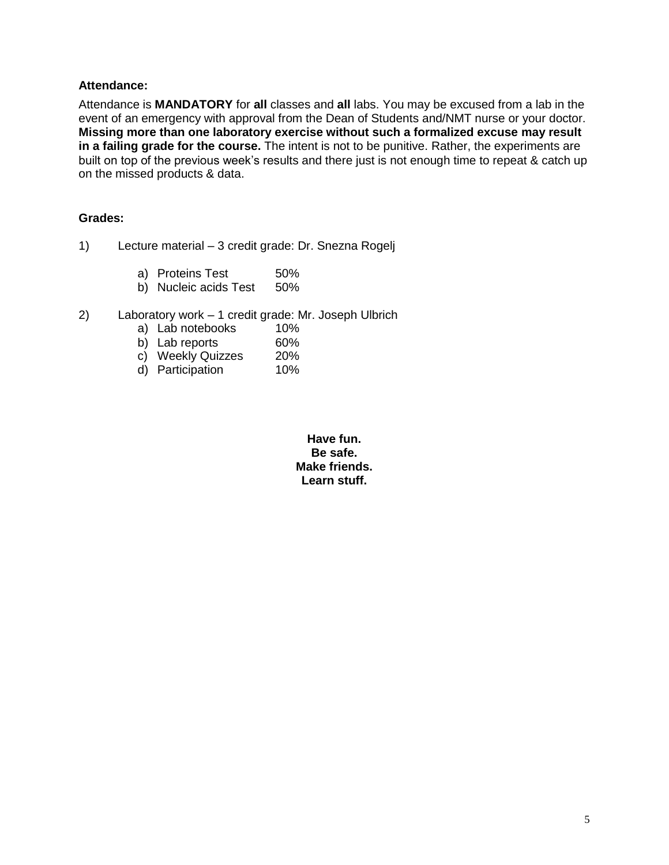#### **Attendance:**

Attendance is **MANDATORY** for **all** classes and **all** labs. You may be excused from a lab in the event of an emergency with approval from the Dean of Students and/NMT nurse or your doctor. **Missing more than one laboratory exercise without such a formalized excuse may result in a failing grade for the course.** The intent is not to be punitive. Rather, the experiments are built on top of the previous week's results and there just is not enough time to repeat & catch up on the missed products & data.

#### **Grades:**

- 1) Lecture material 3 credit grade: Dr. Snezna Rogelj
	- a) Proteins Test 50%
	- b) Nucleic acids Test 50%
- 2) Laboratory work 1 credit grade: Mr. Joseph Ulbrich
	- a) Lab notebooks 10%
	- b) Lab reports 60%
	- c) Weekly Quizzes 20%
	- d) Participation 10%

**Have fun. Be safe. Make friends. Learn stuff.**